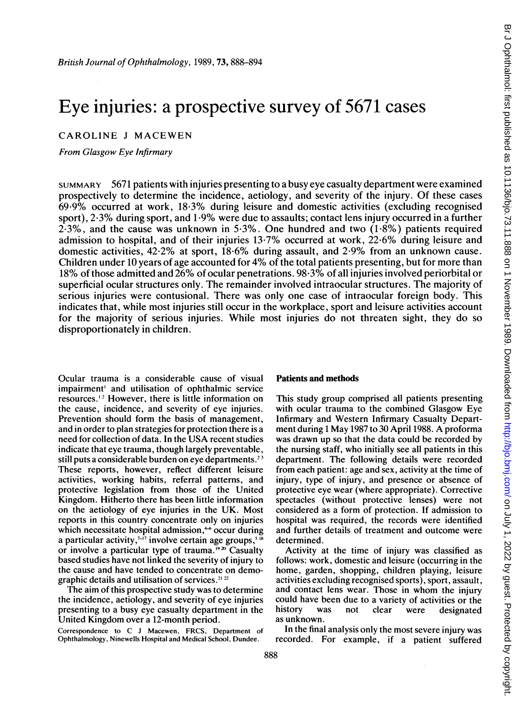# Eye injuries: a prospective survey of 5671 cases

# CAROLINE <sup>J</sup> MACEWEN

From Glasgow Eye Infirmary

SUMMARY 5671 patients with injuries presenting to a busy eye casualty department were examined prospectively to determine the incidence, aetiology, and severity of the injury. Of these cases 69-9% occurred at work, 18-3% during leisure and domestic activities (excluding recognised sport), 2-3% during sport, and 1-9% were due to assaults; contact lens injury occurred in a further  $2.3\%$ , and the cause was unknown in 5.3%. One hundred and two  $(1.8\%)$  patients required admission to hospital, and of their injuries 13-7% occurred at work, 22-6% during leisure and domestic activities, 42-2% at sport, 18-6% during assault, and 2.9% from an unknown cause. Children under <sup>10</sup> years of age accounted for 4% of the total patients presenting, but for more than 18% of those admitted and 26% of ocular penetrations. 98-3% of all injuries involved periorbital or superficial ocular structures only. The remainder involved intraocular structures. The majority of serious injuries were contusional. There was only one case of intraocular foreign body. This indicates that, while most injuries still occur in the workplace, sport and leisure activities account for the majority of serious injuries. While most injuries do not threaten sight, they do so disproportionately in children.

Ocular trauma is a considerable cause of visual impairment' and utilisation of ophthalmic service resources." However, there is little information on the cause, incidence, and severity of eye injuries. Prevention should form the basis of management, and in order to plan strategies for protection there is a need for collection of data. In the USA recent studies indicate that eye trauma, though largely preventable, still puts a considerable burden on eye departments.<sup>23</sup> These reports, however, reflect different leisure activities, working habits, referral patterns, and protective legislation from those of the United Kingdom. Hitherto there has been little information on the aetiology of eye injuries in the UK. Most reports in this country concentrate only on injuries which necessitate hospital admission, $4\degree$  occur during a particular activity,<sup> $2-17$ </sup> involve certain age groups,  $5^{18}$ or involve a particular type of trauma.'92" Casualty based studies have not linked the severity of injury to the cause and have tended to concentrate on demographic details and utilisation of services.<sup>21</sup><sup>22</sup>

The aim of this prospective study was to determine the incidence, aetiology, and severity of eye injuries presenting to a busy eye casualty department in the United Kingdom over a 12-month period.

Correspondence to C <sup>J</sup> Macewen, FRCS, Department of Ophthalmology, Ninewells Hospital and Medical School, Dundee.

## Patients and methods

This study group comprised all patients presenting with ocular trauma to the combined Glasgow Eye Infirmary and Western Infirmary Casualty Department during <sup>1</sup> May <sup>1987</sup> to <sup>30</sup> April 1988. A proforma was drawn up so that the data could be recorded by the nursing staff, who initially see all patients in this department. The following details were recorded from each patient: age and sex, activity at the time of injury, type of injury, and presence or absence of protective eye wear (where appropriate). Corrective spectacles (without protective lenses) were not considered as a form of protection. If admission to hospital was required, the records were identified and further details of treatment and outcome were determined.

Activity at the time of injury was classified as follows: work, domestic and leisure (occurring in the home, garden, shopping, children playing, leisure activities excluding recognised sports), sport, assault, and contact lens wear. Those in whom the injury could have been due to a variety of activities or the history was not clear were designated as unknown.

In the final analysis only the most severe injury was recorded. For example, if a patient suffered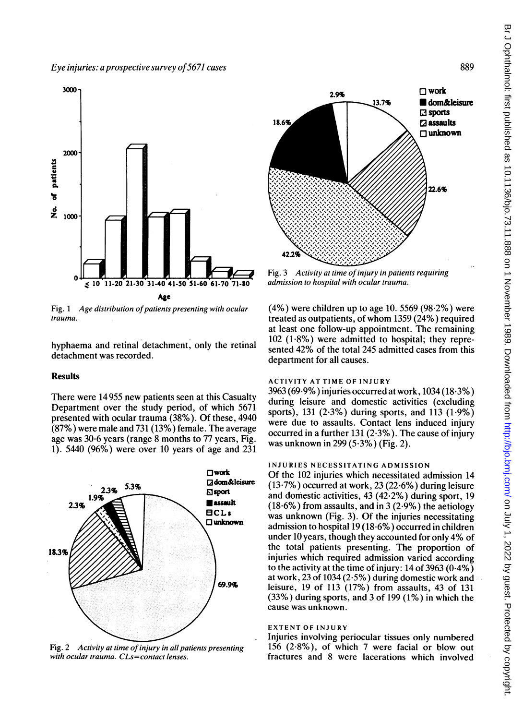

Fig. 1 Age distribution of patients presenting with ocular trauma.

hyphaema and retinal detachment, only the retinal detachment was recorded.

## Results

There were 14 955 new patients seen at this Casualty Department over the study period, of which 5671 presented with ocular trauma (38%). Of these, 4940 (87%) were male and 731 (13%) female. The average age was 30-6 years (range 8 months to 77 years, Fig. 1). 5440 (96%) were over 10 years of age and 231



Fig. 2 Activity at time of injury in all patients presenting with ocular trauma. CLs=contact lenses.



Fig.  $3$  Activity at time of injury in patients requiring admission to hospital with ocular trauma.

 $(4\%)$  were children up to age 10. 5569  $(98.2\%)$  were treated as outpatients, of whom 1359 (24%) required at least one follow-up appointment. The remaining  $102$  (1.8%) were admitted to hospital; they represented 42% of the total 245 admitted cases from this department for all causes.

## ACTIVITY AT TIME OF INJURY

3963 (69-9%) injuries occurred at work, 1034 (18.3%) during leisure and domestic activities (excluding sports), 131 (2.3%) during sports, and 113 (1.9%) were due to assaults. Contact lens induced injury occurred in a further  $131 (2.3%)$ . The cause of injury was unknown in 299 (5.3%) (Fig. 2).

# INJURIES NECESSITATING ADMISSION

Of the 102 injuries which necessitated admission 14  $(13.7\%)$  occurred at work, 23 (22.6%) during leisure and domestic activities, 43 (42.2%) during sport, 19  $(18.6\%)$  from assaults, and in 3 (2.9%) the aetiology was unknown (Fig. 3). Of the injuries necessitating admission to hospital 19 (18-6%) occurred in children under <sup>10</sup> years, though they accounted for only 4% of the total patients presenting. The proportion of injuries which required admission varied according to the activity at the time of injury: 14 of 3963 (0-4%) at work, 23 of 1034 (2-5%) during domestic work and leisure, 19 of 113 (17%) from assaults, 43 of 131 (33%) during sports, and 3 of 199 (1%) in which the cause was unknown.

## EXTENT OF INJURY

Injuries involving periocular tissues only numbered 156 (2-8%), of which 7 were facial or blow out fractures and 8 were lacerations which involved

889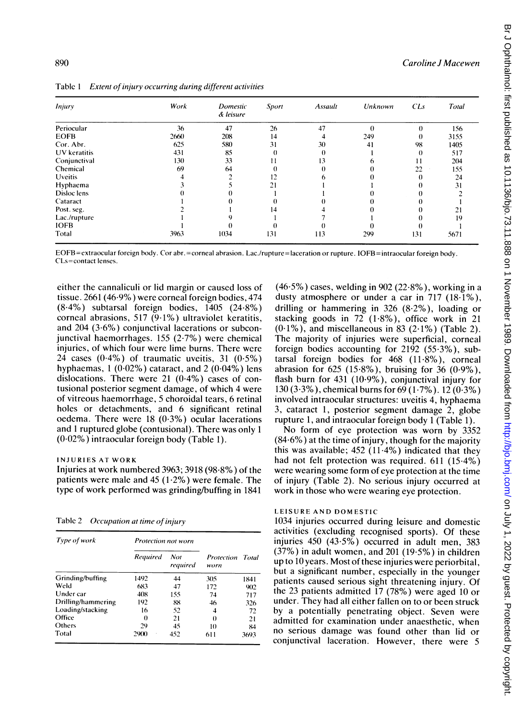| <i>Injury</i> | Work | Domestic<br>& leisure | Sport | Assault | Unknown | CLs          | Total |
|---------------|------|-----------------------|-------|---------|---------|--------------|-------|
| Periocular    | 36   | 47                    | 26    | 47      |         | $\theta$     | 156   |
| <b>EOFB</b>   | 2660 | 208                   | 14    |         | 249     | 0            | 3155  |
| Cor. Abr.     | 625  | 580                   | 31    | 30      | 41      | 98           | 1405  |
| UV keratitis  | 431  | 85                    |       |         |         | $\Omega$     | 517   |
| Conjunctival  | 130  | 33                    | 11    | 13      |         |              | 204   |
| Chemical      | 69   | 64                    | 0     | 0       |         | 22           | 155   |
| Uveitis       |      |                       | 12    | n       |         | $\theta$     | 24    |
| Hyphaema      |      |                       | 21    |         |         | 0            | 31    |
| Disloc lens   |      |                       |       |         |         | 0            |       |
| Cataract      |      |                       | 0     |         |         | 0            |       |
| Post. seg.    |      |                       | 14    |         |         |              | 21    |
| Lac./rupture  |      |                       |       |         |         | 0            | 19    |
| <b>IOFB</b>   |      |                       |       |         |         | $\mathbf{0}$ |       |
| Total         | 3963 | 1034                  | 131   | 113     | 299     | 131          | 5671  |

Table 1 Extent of injury occurring during different activities

EOFB=extraocular foreign body. Cor abr.=corneal abrasion. Lac./rupture=laceration or rupture. IOFB=intraocular foreign body. CLs=contact lenses.

either the cannaliculi or lid margin or caused loss of tissue. 2661 (46.9%) were corneal foreign bodies, 474 (8-4%) subtarsal foreign bodies, 1405 (24-8%) corneal abrasions, 517  $(9.1\%)$  ultraviolet keratitis, and 204 (3-6%) conjunctival lacerations or subconjunctival haemorrhages. 155 (2-7%) were chemical injuries, of which four were lime burns. There were 24 cases  $(0.4\%)$  of traumatic uveitis, 31  $(0.5\%)$ hyphaemas,  $1(0.02\%)$  cataract, and  $2(0.04\%)$  lens dislocations. There were  $21$  (0.4%) cases of contusional posterior segment damage, of which 4 were of vitreous haemorrhage, 5 choroidal tears, 6 retinal holes or detachments, and 6 significant retinal oedema. There were 18 (0-3%) ocular lacerations and <sup>1</sup> ruptured globe (contusional). There was only <sup>1</sup> (0-02%) intraocular foreign body (Table 1).

## INJURIES AT WORK

Injuries at work numbered 3963; 3918 (98.8%) of the patients were male and 45 (1-2%) were female. The type of work performed was grinding/buffing in 1841

Table 2 Occupation at time of injury

| Type of work       | Protection not worn |                 |                    |       |
|--------------------|---------------------|-----------------|--------------------|-------|
|                    | Required            | Not<br>required | Protection<br>worn | Total |
| Grinding/buffing   | 1492                | 44              | 305                | 1841  |
| Weld               | 683                 | 47              | 172                | 902   |
| Under car          | 408                 | 155             | 74                 | 717   |
| Drilling/hammering | 192                 | 88              | 46                 | 326   |
| Loading/stacking   | 16                  | 52              | 4                  | 72    |
| Office             | 0                   | 21              | $\theta$           | 21    |
| Others             | 29                  | 45              | 10                 | 84    |
| Total              | 2900                | 452             | 611                | 3693  |

 $(46.5\%)$  cases, welding in 902 (22.8%), working in a dusty atmosphere or under a car in 717 (18-1%), drilling or hammering in  $326$  (8.2%), loading or stacking goods in  $72(1.8\%)$ , office work in 21  $(0.1\%)$ , and miscellaneous in 83 (2.1%) (Table 2). The majority of injuries were superficial, corneal foreign bodies accounting for  $2192$  (55.3%), subtarsal foreign bodies for 468 (11-8%), corneal abrasion for  $625$  (15.8%), bruising for  $36$  (0.9%), flash burn for 431 (10-9%), conjunctival injury for 130 (3-3%), chemical burns for 69 (1.7%). 12 (0.3%) involved intraocular structures: uveitis 4, hyphaema 3, cataract 1, posterior segment damage 2, globe rupture 1, and intraocular foreign body <sup>1</sup> (Table 1).

No form of eye protection was worn by 3352  $(84.6\%)$  at the time of injury, though for the majority this was available;  $452$  ( $11.4\%$ ) indicated that they had not felt protection was required. 611 (15-4%) were wearing some form of eye protection at the time of injury (Table 2). No serious injury occurred at work in those who were wearing eye protection.

# LEISURE AND DOMESTIC

1034 injuries occurred during leisure and domestic activities (excluding recognised sports). Of these injuries 450 (43-5%) occurred in adult men, 383 (37%) in adult women, and 201 (19-5%) in children up to 10 years. Most of these injuries were periorbital, but a significant number, especially in the younger patients caused serious sight threatening injury. Of the 23 patients admitted 17 (78%) were aged 10 or under. They had all either fallen on to or been struck by a potentially penetrating object. Seven were admitted for examination under anaesthetic, when no serious damage was found other than lid or conjunctival laceration. However, there were 5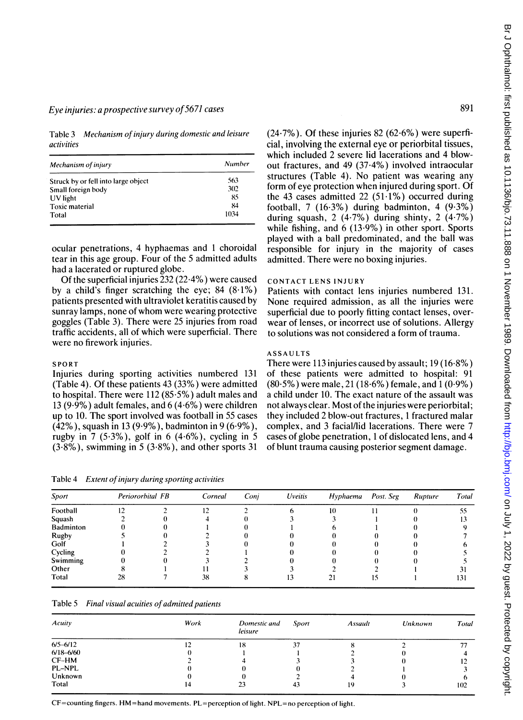Table 3 Mechanism of injury during domestic and leisure activities

| Mechanism of injury                 | Number |  |  |
|-------------------------------------|--------|--|--|
| Struck by or fell into large object | 563    |  |  |
| Small foreign body                  | 302    |  |  |
| UV light                            | 85     |  |  |
| Toxic material                      | 84     |  |  |
| Total                               | 1034   |  |  |

ocular penetrations, 4 hyphaemas and <sup>1</sup> choroidal tear in this age group. Four of the 5 admitted adults had a lacerated or ruptured globe.

Of the superficial injuries 232 (22.4%) were caused by a child's finger scratching the eye;  $84$   $(8.1\%)$ patients presented with ultraviolet keratitis caused by sunray lamps, none of whom were wearing protective goggles (Table 3). There were 25 injuries from road traffic accidents, all of which were superficial. There were no firework injuries.

#### SPORT

Injuries during sporting activities numbered 131 (Table 4). Of these patients 43 (33%) were admitted to hospital. There were 112 (85.5%) adult males and 13 (9.9%) adult females, and  $6(4.6\%)$  were children up to 10. The sport involved was football in 55 cases (42%), squash in 13 (9-9%), badminton in 9 (6.9%), rugby in 7 (5.3%), golf in 6 (4.6%), cycling in 5  $(3.8\%)$ , swimming in 5 (3.8%), and other sports 31

Table 4 Extent of injury during sporting activities

| Sport     | Periororbital FB | Corneal | Conj | <b>Uveitis</b> | Hyphaema | Post. Seg | Rupture | Total |
|-----------|------------------|---------|------|----------------|----------|-----------|---------|-------|
| Football  |                  | 12      |      |                | 10       |           |         | 55    |
| Squash    |                  |         |      |                |          |           |         |       |
| Badminton |                  |         |      |                |          |           |         |       |
| Rugby     |                  |         |      |                |          |           |         |       |
| Golf      |                  |         |      |                |          |           |         |       |
| Cycling   |                  |         |      |                |          |           |         |       |
| Swimming  |                  |         |      |                |          |           |         |       |
| Other     |                  |         |      |                |          |           |         |       |
| Total     | 28               | 38      |      |                |          |           |         | 131   |

Table 5 Final visual acuities of admitted patients

| Acuity        | Work | Domestic and<br>leisure | Sport | Assault | Unknown | Total |
|---------------|------|-------------------------|-------|---------|---------|-------|
| $6/5 - 6/12$  | 12   | 18                      | 37    |         |         |       |
| $6/18 - 6/60$ |      |                         |       |         |         |       |
| $CF-HM$       |      |                         |       |         |         | . .   |
| PL-NPL        |      |                         |       |         |         |       |
| Unknown       |      |                         |       |         |         |       |
| Total         | 14   | 23                      | 43    | 19      |         | 102   |

 $(24.7\%)$ . Of these injuries 82  $(62.6\%)$  were superficial, involving the external eye or periorbital tissues, which included 2 severe lid lacerations and 4 blowout fractures, and 49 (37.4%) involved intraocular structures (Table 4). No patient was wearing any form of eye protection when injured during sport. Of the 43 cases admitted 22  $(51.1\%)$  occurred during football, 7  $(16.3\%)$  during badminton, 4  $(9.3\%)$ during squash,  $2(4.7\%)$  during shinty,  $2(4.7\%)$ while fishing, and 6 (13.9%) in other sport. Sports played with a ball predominated, and the ball was responsible for injury in the majority of cases admitted. There were no boxing injuries.

# CONTACT LENS INJURY

Patients with contact lens injuries numbered 131. None required admission, as all the injuries were superficial due to poorly fitting contact lenses, overwear of lenses, or incorrect use of solutions. Allergy to solutions was not considered a form of trauma.

## ASSAU LTS

There were 113 injuries caused by assault; 19 (16-8%) of these patients were admitted to hospital: 91 (80.5%) were male, 21 (18-6%) female, and <sup>1</sup> (0.9%) a child under 10. The exact nature of the assault was not always clear. Most of the injuries were periorbital; they included 2 blow-out fractures, <sup>1</sup> fractured malar complex, and 3 facial/lid lacerations. There were 7 cases of globe penetration, <sup>1</sup> of dislocated lens, and 4 of blunt trauma causing posterior segment damage.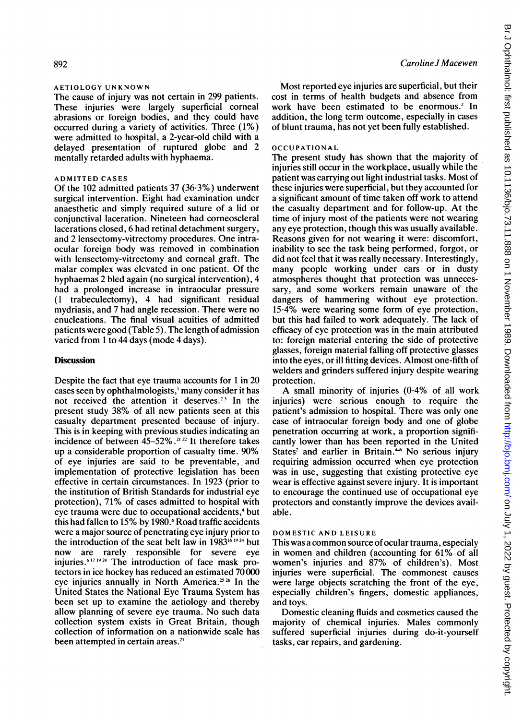#### AETIOLOGY UNKNOWN

The cause of injury was not certain in 299 patients. These injuries were largely superficial corneal abrasions or foreign bodies, and they could have occurred during a variety of activities. Three (1%) were admitted to hospital, a 2-year-old child with a delayed presentation of ruptured globe and 2 mentally retarded adults with hyphaema.

## ADMITTED CASES

Of the 102 admitted patients 37 (36-3%) underwent surgical intervention. Eight had examination under anaesthetic and simply required suture of a lid or conjunctival laceration. Nineteen had corneoscleral lacerations closed, 6 had retinal detachment surgery, and 2 lensectomy-vitrectomy procedures. One intraocular foreign body was removed in combination with lensectomy-vitrectomy and corneal graft. The malar complex was elevated in one patient. Of the hyphaemas 2 bled again (no surgical intervention), 4 had a prolonged increase in intraocular pressure (1 trabeculectomy), 4 had significant residual mydriasis, and 7 had angle recession. There were no enucleations. The final visual acuities of admitted patients were good (Table 5). The length of admission varied from <sup>1</sup> to 44 days (mode 4 days).

## **Discussion**

Despite the fact that eye trauma accounts for <sup>1</sup> in 20 cases seen by ophthalmologists,' many consider it has not received the attention it deserves.<sup>23</sup> In the present study 38% of all new patients seen at this casualty department presented because of injury. This is in keeping with previous studies indicating an incidence of between  $45-52\%$ .<sup>21, 22</sup> It therefore takes up a considerable proportion of casualty time. 90% of eye injuries are said to be preventable, and implementation of protective legislation has been effective in certain circumstances. In 1923 (prior to the institution of British Standards for industrial eye protection), 71% of cases admitted to hospital with eye trauma were due to occupational accidents,<sup>4</sup> but this had fallen to 15% by 1980.<sup>6</sup> Road traffic accidents were a major source of penetrating eye injury prior to the introduction of the seat belt law in  $1983^{16}$  <sup>1924</sup> but now are rarely responsible for severe eye injuries.6'7'924 The introduction of face mask protectors in ice hockey has reduced an estimated 70 000 eye injuries annually in North America.<sup>2526</sup> In the United States the National Eye Trauma System has been set up to examine the aetiology and thereby allow planning of severe eye trauma. No such data collection system exists in Great Britain, though collection of information on a nationwide scale has been attempted in certain areas.<sup>27</sup>

Most reported eye injuries are superficial, but their cost in terms of health budgets and absence from work have been estimated to be enormous.<sup>2</sup> In addition, the long term outcome, especially in cases of blunt trauma, has not yet been fully established.

#### OCCUPATIONAL

The present study has shown that the majority of injuries still occur in the workplace, usually while the patient was carrying out light industrial tasks. Most of these injuries were superficial, but they accounted for a significant amount of time taken off work to attend the casualty department and for follow-up. At the time of injury most of the patients were not wearing any eye protection, though this was usually available. Reasons given for not wearing it were: discomfort, inability to see the task being performed, forgot, or did not feel that it was really necessary. Interestingly, many people working under cars or in dusty atmospheres thought that protection was unnecessary, and some workers remain unaware of the dangers of hammering without eye protection. 15-4% were wearing some form of eye protection, but this had failed to work adequately. The lack of efficacy of eye protection was in the main attributed to: foreign material entering the side of protective glasses, foreign material falling off protective glasses into the eyes, or ill fitting devices. Almost one-fifth of welders and grinders suffered injury despite wearing protection.

A small minority of injuries (0.4% of all work injuries) were serious enough to require the patient's admission to hospital. There was only one case of intraocular foreign body and one of globe penetration occurring at work, a proportion significantly lower than has been reported in the United States<sup>2</sup> and earlier in Britain.<sup>46</sup> No serious injury requiring admission occurred when eye protection was in use, suggesting that existing protective eye wear is effective against severe injury. It is important to encourage the continued use of occupational eye protectors and constantly improve the devices available.

## DOMESTIC AND LEISURE

This was a common source of ocular trauma, especialy in women and children (accounting for 61% of all women's injuries and 87% of children's). Most injuries were superficial. The commonest causes were large objects scratching the front of the eye, especially children's fingers, domestic appliances, and toys.

Domestic cleaning fluids and cosmetics caused the majority of chemical injuries. Males commonly suffered superficial injuries during do-it-yourself tasks, car repairs, and gardening.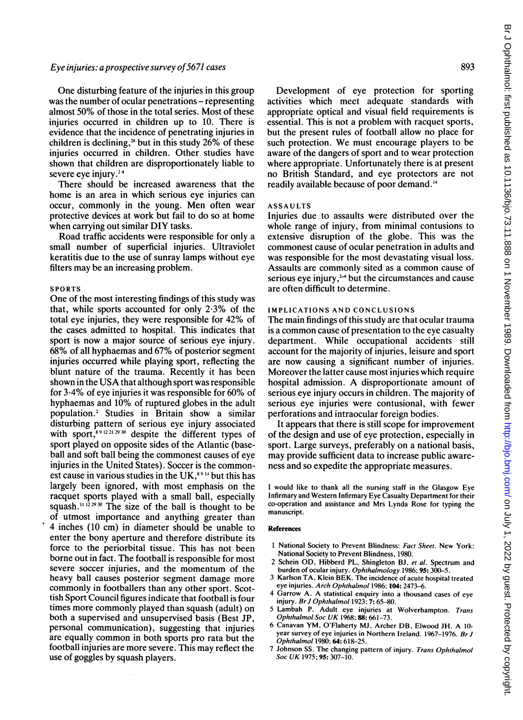One disturbing feature of the injuries in this group was the number of ocular penetrations – representing almost 50% of those in the total series. Most of these injuries occurred in children up to 10. There is evidence that the incidence of penetrating injuries in children is declining,<sup> $28$ </sup> but in this study  $26\%$  of these injuries occurred in children. Other studies have shown that children are disproportionately liable to severe eye injury.<sup>24</sup>

There should be increased awareness that the home is an area in which serious eye injuries can occur, commonly in the young. Men often wear protective devices at work but fail to do so at home when carrying out similar DIY tasks.

Road traffic accidents were responsible for only a small number of superficial injuries. Ultraviolet keratitis due to the use of sunray lamps without eye filters may be an increasing problem.

## SPORTS

One of the most interesting findings of this study was that, while sports accounted for only 2-3% of the total eye injuries, they were responsible for 42% of the cases admitted to hospital. This indicates that sport is now a major source of serious eye injury. 68% of all hyphaemas and 67% of posterior segment injuries occurred while playing sport, reflecting the blunt nature of the trauma. Recently it has been shown in the USA that although sport was responsible for 3-4% of eye injuries it was responsible for 60% of hyphaemas and 10% of ruptured globes in the adult population.2 Studies in Britain show a similar disturbing pattern of serious eye injury associated with sport, $8912212930$  despite the different types of sport played on opposite sides of the Atlantic (baseball and soft ball being the commonest causes of eye injuries in the United States). Soccer is the commonest cause in various studies in the UK,<sup>8914</sup> but this has largely been ignored, with most emphasis on the racquet sports played with a small ball, especially squash.<sup>11 12</sup>29<sup>30</sup> The size of the ball is thought to be of utmost importance and anything greater than 4 inches (10 cm) in diameter should be unable to enter the bony aperture and therefore distribute its force to the periorbital tissue. This has not been borne out in fact. The football is responsible for most severe soccer injuries, and the momentum of the heavy ball causes posterior segment damage more commonly in footballers than any other sport. Scottish Sport Council figures indicate that football is four times more commonly played than squash (adult) on both a supervised and unsupervised basis (Best JP, personal communication), suggesting that injuries are equally common in both sports pro rata but the football injuries are more severe. This may reflect the use of goggles by squash players.

Development of eye protection for sporting activities which meet adequate standards with appropriate optical and visual field requirements is essential. This is not a problem with racquet sports, but the present rules of football allow no place for such protection. We must encourage players to be aware of the dangers of sport and to wear protection where appropriate. Unfortunately there is at present no British Standard, and eye protectors are not readily available because of poor demand.'4

#### ASSAULTS

Injuries due to assaults were distributed over the whole range of injury, from minimal contusions to extensive disruption of the globe. This was the commonest cause of ocular penetration in adults and was responsible for the most devastating visual loss. Assaults are commonly sited as <sup>a</sup> common cause of serious eye injury, $24$  but the circumstances and cause are often difficult to determine.

#### IMPLICATIONS AND CONCLUSIONS

The main findings of this study are that ocular trauma is <sup>a</sup> common cause of presentation to the eye casualty department. While occupational accidents still account for the majority of injuries, leisure and sport are now causing a significant number of injuries. Moreover the latter cause most injuries which require hospital admission. A disproportionate amount of serious eye injury occurs in children. The majority of serious eye injuries were contusional, with fewer perforations and intraocular foreign bodies.

It appears that there is still scope for improvement of the design and use of eye protection, especially in sport. Large surveys, preferably on a national basis, may provide sufficient data to increase public awareness and so expedite the appropriate measures.

<sup>I</sup> would like to thank all the nursing staff in the Glasgow Eye Infirmary and Western Infirmary Eye Casualty Department for their co-operation and assistance and Mrs Lynda Rose for typing the manuscript.

#### References

- <sup>1</sup> National Society to Prevent Blindness: Fact Sheet. New York: National Society to Prevent Blindness, 1980.
- Schein OD, Hibberd PL, Shingleton BJ, et al. Spectrum and burden of ocular injury. Ophthalmology 1986; 95: 300-5.
- 3 Karlson TA, Klein BEK. The incidence of acute hospital treated eye injuries. Arch Ophthalmol 1986; 104: 2473-6.
- <sup>4</sup> Garrow A. A statistical enquiry into <sup>a</sup> thousand cases of eye injury. Br J Ophthalmol 1923; 7: 65-80.
- 5 Lambah P. Adult eye injuries at Wolverhampton. Trans Ophthalmol Soc UK 1968: 88: 661-73.
- <sup>6</sup> Canavan YM, <sup>O</sup>'Flaherty MJ, Archer DB, Elwood JH. A 10 year survey of eye injuries in Northern Ireland. 1967-1976. Br J Ophthalmol 1980; 64: 618-25.
- 7 Johnson SS. The changing pattern of injury. Trans Ophthalmol Soc UK 1975; 95: 307-10.

893